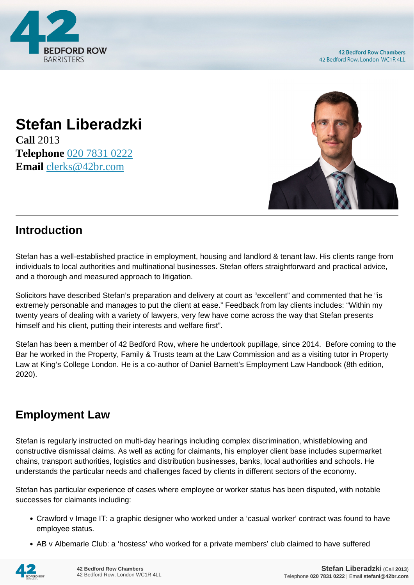

# **Stefan Liberadzki**

**Call** 2013 **Telephone** [020 7831 0222](https://pdf.codeshore.co/_42br/tel:020 7831 0222) **Email** [clerks@42br.com](mailto:clerks@42br.com)



#### **Introduction**

Stefan has a well-established practice in employment, housing and landlord & tenant law. His clients range from individuals to local authorities and multinational businesses. Stefan offers straightforward and practical advice, and a thorough and measured approach to litigation.

Solicitors have described Stefan's preparation and delivery at court as "excellent" and commented that he "is extremely personable and manages to put the client at ease." Feedback from lay clients includes: "Within my twenty years of dealing with a variety of lawyers, very few have come across the way that Stefan presents himself and his client, putting their interests and welfare first".

Stefan has been a member of 42 Bedford Row, where he undertook pupillage, since 2014. Before coming to the Bar he worked in the Property, Family & Trusts team at the Law Commission and as a visiting tutor in Property Law at King's College London. He is a co-author of Daniel Barnett's Employment Law Handbook (8th edition, 2020).

### **Employment Law**

Stefan is regularly instructed on multi-day hearings including complex discrimination, whistleblowing and constructive dismissal claims. As well as acting for claimants, his employer client base includes supermarket chains, transport authorities, logistics and distribution businesses, banks, local authorities and schools. He understands the particular needs and challenges faced by clients in different sectors of the economy.

Stefan has particular experience of cases where employee or worker status has been disputed, with notable successes for claimants including:

- Crawford v Image IT: a graphic designer who worked under a 'casual worker' contract was found to have employee status.
- AB v Albemarle Club: a 'hostess' who worked for a private members' club claimed to have suffered

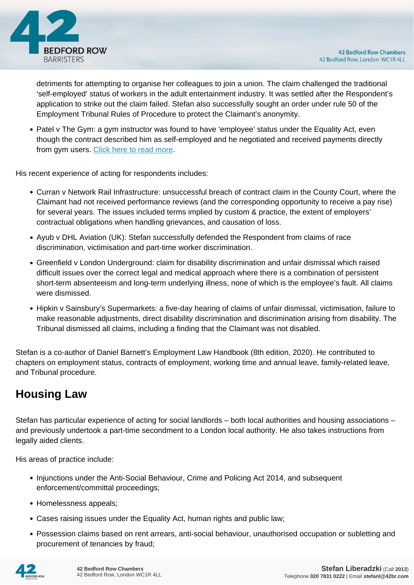

detriments for attempting to organise her colleagues to join a union. The claim challenged the traditional 'self-employed' status of workers in the adult entertainment industry. It was settled after the Respondent's application to strike out the claim failed. Stefan also successfully sought an order under rule 50 of the Employment Tribunal Rules of Procedure to protect the Claimant's anonymity.

• Patel v The Gym: a gym instructor was found to have 'employee' status under the Equality Act, even though the contract described him as self-employed and he negotiated and received payments directly from gym users. [Click here to read more.](https://www.42br.com/latest-news/stefan-liberadzki-represents-employment-tribunal-claimant-who-successfully-establishes-employee-status-for-claim-under-the-equality-act.htm)

His recent experience of acting for respondents includes:

- Curran v Network Rail Infrastructure: unsuccessful breach of contract claim in the County Court, where the Claimant had not received performance reviews (and the corresponding opportunity to receive a pay rise) for several years. The issues included terms implied by custom & practice, the extent of employers' contractual obligations when handling grievances, and causation of loss.
- Ayub v DHL Aviation (UK): Stefan successfully defended the Respondent from claims of race discrimination, victimisation and part-time worker discrimination.
- Greenfield v London Underground: claim for disability discrimination and unfair dismissal which raised difficult issues over the correct legal and medical approach where there is a combination of persistent short-term absenteeism and long-term underlying illness, none of which is the employee's fault. All claims were dismissed.
- Hipkin v Sainsbury's Supermarkets: a five-day hearing of claims of unfair dismissal, victimisation, failure to make reasonable adjustments, direct disability discrimination and discrimination arising from disability. The Tribunal dismissed all claims, including a finding that the Claimant was not disabled.

Stefan is a co-author of Daniel Barnett's Employment Law Handbook (8th edition, 2020). He contributed to chapters on employment status, contracts of employment, working time and annual leave, family-related leave, and Tribunal procedure.

### **Housing Law**

Stefan has particular experience of acting for social landlords – both local authorities and housing associations – and previously undertook a part-time secondment to a London local authority. He also takes instructions from legally aided clients.

His areas of practice include:

- Injunctions under the Anti-Social Behaviour, Crime and Policing Act 2014, and subsequent enforcement/committal proceedings;
- Homelessness appeals;
- Cases raising issues under the Equality Act, human rights and public law;
- Possession claims based on rent arrears, anti-social behaviour, unauthorised occupation or subletting and procurement of tenancies by fraud;